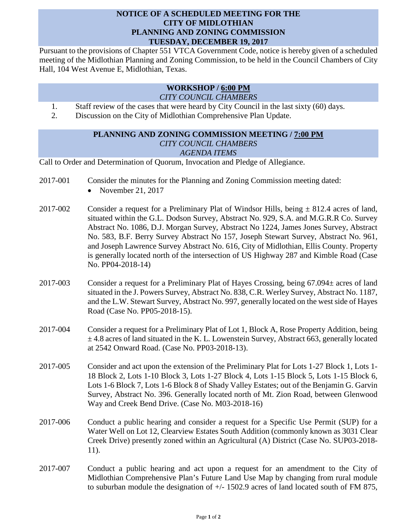## **NOTICE OF A SCHEDULED MEETING FOR THE CITY OF MIDLOTHIAN PLANNING AND ZONING COMMISSION TUESDAY, DECEMBER 19, 2017**

Pursuant to the provisions of Chapter 551 VTCA Government Code, notice is hereby given of a scheduled meeting of the Midlothian Planning and Zoning Commission, to be held in the Council Chambers of City Hall, 104 West Avenue E, Midlothian, Texas.

## **WORKSHOP / 6:00 PM** *CITY COUNCIL CHAMBERS*

- 1. Staff review of the cases that were heard by City Council in the last sixty (60) days.
- 2. Discussion on the City of Midlothian Comprehensive Plan Update.

## **PLANNING AND ZONING COMMISSION MEETING / 7:00 PM** *CITY COUNCIL CHAMBERS AGENDA ITEMS*

Call to Order and Determination of Quorum, Invocation and Pledge of Allegiance.

- 2017-001 Consider the minutes for the Planning and Zoning Commission meeting dated:
	- November 21, 2017
- 2017-002 Consider a request for a Preliminary Plat of Windsor Hills, being  $\pm$  812.4 acres of land, situated within the G.L. Dodson Survey, Abstract No. 929, S.A. and M.G.R.R Co. Survey Abstract No. 1086, D.J. Morgan Survey, Abstract No 1224, James Jones Survey, Abstract No. 583, B.F. Berry Survey Abstract No 157, Joseph Stewart Survey, Abstract No. 961, and Joseph Lawrence Survey Abstract No. 616, City of Midlothian, Ellis County. Property is generally located north of the intersection of US Highway 287 and Kimble Road (Case No. PP04-2018-14)
- 2017-003 Consider a request for a Preliminary Plat of Hayes Crossing, being 67.094± acres of land situated in the J. Powers Survey, Abstract No. 838, C.R. Werley Survey, Abstract No. 1187, and the L.W. Stewart Survey, Abstract No. 997, generally located on the west side of Hayes Road (Case No. PP05-2018-15).
- 2017-004 Consider a request for a Preliminary Plat of Lot 1, Block A, Rose Property Addition, being  $\pm$  4.8 acres of land situated in the K. L. Lowenstein Survey, Abstract 663, generally located at 2542 Onward Road. (Case No. PP03-2018-13).
- 2017-005 Consider and act upon the extension of the Preliminary Plat for Lots 1-27 Block 1, Lots 1- 18 Block 2, Lots 1-10 Block 3, Lots 1-27 Block 4, Lots 1-15 Block 5, Lots 1-15 Block 6, Lots 1-6 Block 7, Lots 1-6 Block 8 of Shady Valley Estates; out of the Benjamin G. Garvin Survey, Abstract No. 396. Generally located north of Mt. Zion Road, between Glenwood Way and Creek Bend Drive. (Case No. M03-2018-16)
- 2017-006 Conduct a public hearing and consider a request for a Specific Use Permit (SUP) for a Water Well on Lot 12, Clearview Estates South Addition (commonly known as 3031 Clear Creek Drive) presently zoned within an Agricultural (A) District (Case No. SUP03-2018- 11).
- 2017-007 Conduct a public hearing and act upon a request for an amendment to the City of Midlothian Comprehensive Plan's Future Land Use Map by changing from rural module to suburban module the designation of  $+/- 1502.9$  acres of land located south of FM 875,